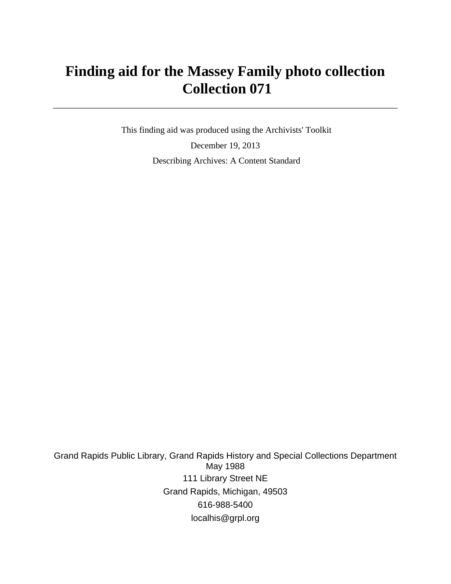# **Finding aid for the Massey Family photo collection Collection 071**

 This finding aid was produced using the Archivists' Toolkit December 19, 2013 Describing Archives: A Content Standard

Grand Rapids Public Library, Grand Rapids History and Special Collections Department May 1988 111 Library Street NE Grand Rapids, Michigan, 49503 616-988-5400 localhis@grpl.org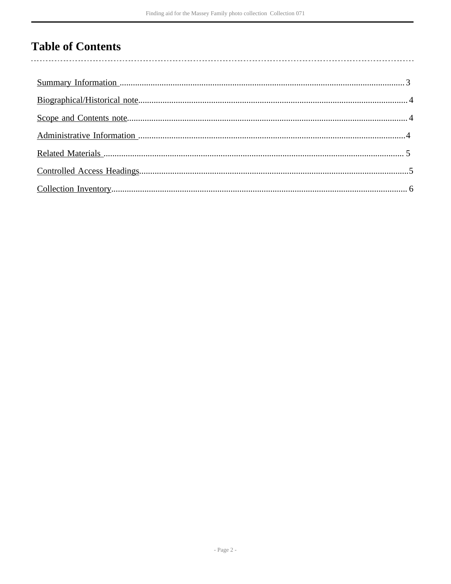## **Table of Contents**

 $\overline{\phantom{a}}$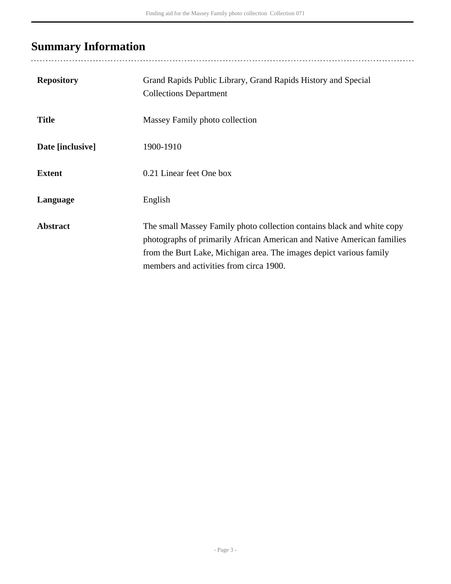# <span id="page-2-0"></span>**Summary Information**

| <b>Repository</b> | Grand Rapids Public Library, Grand Rapids History and Special<br><b>Collections Department</b>                                                                                                                                                                     |
|-------------------|--------------------------------------------------------------------------------------------------------------------------------------------------------------------------------------------------------------------------------------------------------------------|
| <b>Title</b>      | Massey Family photo collection                                                                                                                                                                                                                                     |
| Date [inclusive]  | 1900-1910                                                                                                                                                                                                                                                          |
| <b>Extent</b>     | 0.21 Linear feet One box                                                                                                                                                                                                                                           |
| Language          | English                                                                                                                                                                                                                                                            |
| <b>Abstract</b>   | The small Massey Family photo collection contains black and white copy<br>photographs of primarily African American and Native American families<br>from the Burt Lake, Michigan area. The images depict various family<br>members and activities from circa 1900. |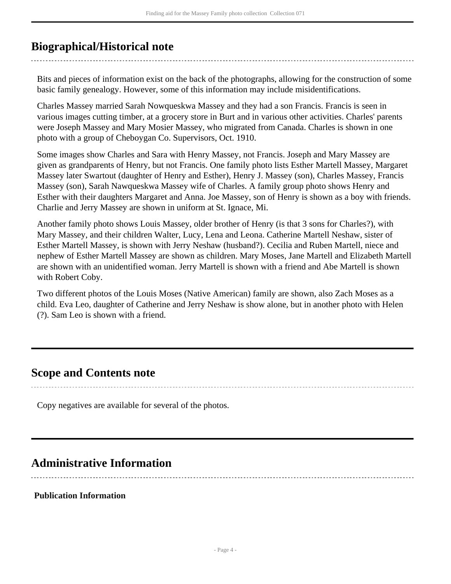### <span id="page-3-0"></span>**Biographical/Historical note**

Bits and pieces of information exist on the back of the photographs, allowing for the construction of some basic family genealogy. However, some of this information may include misidentifications.

Charles Massey married Sarah Nowqueskwa Massey and they had a son Francis. Francis is seen in various images cutting timber, at a grocery store in Burt and in various other activities. Charles' parents were Joseph Massey and Mary Mosier Massey, who migrated from Canada. Charles is shown in one photo with a group of Cheboygan Co. Supervisors, Oct. 1910.

Some images show Charles and Sara with Henry Massey, not Francis. Joseph and Mary Massey are given as grandparents of Henry, but not Francis. One family photo lists Esther Martell Massey, Margaret Massey later Swartout (daughter of Henry and Esther), Henry J. Massey (son), Charles Massey, Francis Massey (son), Sarah Nawqueskwa Massey wife of Charles. A family group photo shows Henry and Esther with their daughters Margaret and Anna. Joe Massey, son of Henry is shown as a boy with friends. Charlie and Jerry Massey are shown in uniform at St. Ignace, Mi.

Another family photo shows Louis Massey, older brother of Henry (is that 3 sons for Charles?), with Mary Massey, and their children Walter, Lucy, Lena and Leona. Catherine Martell Neshaw, sister of Esther Martell Massey, is shown with Jerry Neshaw (husband?). Cecilia and Ruben Martell, niece and nephew of Esther Martell Massey are shown as children. Mary Moses, Jane Martell and Elizabeth Martell are shown with an unidentified woman. Jerry Martell is shown with a friend and Abe Martell is shown with Robert Coby.

Two different photos of the Louis Moses (Native American) family are shown, also Zach Moses as a child. Eva Leo, daughter of Catherine and Jerry Neshaw is show alone, but in another photo with Helen (?). Sam Leo is shown with a friend.

### <span id="page-3-1"></span>**Scope and Contents note**

Copy negatives are available for several of the photos.

### <span id="page-3-2"></span>**Administrative Information**

#### **Publication Information**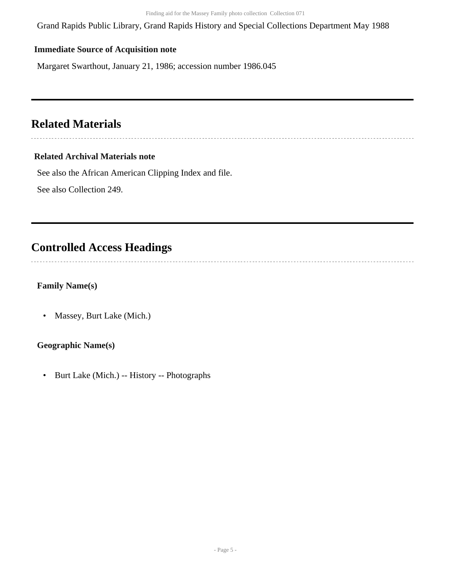Grand Rapids Public Library, Grand Rapids History and Special Collections Department May 1988

#### **Immediate Source of Acquisition note**

Margaret Swarthout, January 21, 1986; accession number 1986.045

## <span id="page-4-0"></span>**Related Materials**

### **Related Archival Materials note**

See also the African American Clipping Index and file.

See also Collection 249.

### <span id="page-4-1"></span>**Controlled Access Headings**

 $\overline{a}$ 

### **Family Name(s)**

• Massey, Burt Lake (Mich.)

#### **Geographic Name(s)**

• Burt Lake (Mich.) -- History -- Photographs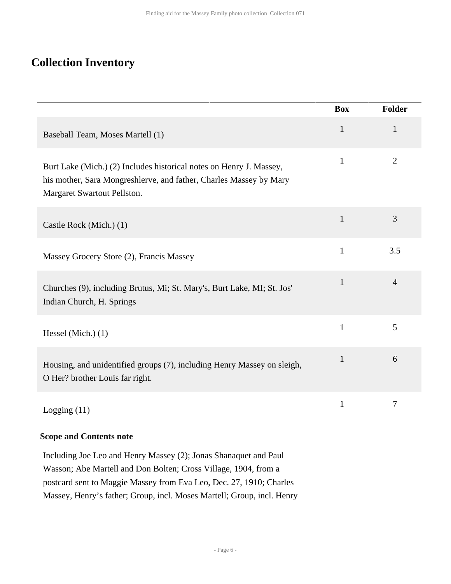## <span id="page-5-0"></span>**Collection Inventory**

|                                                                                                                                                                          | <b>Box</b>   | Folder         |
|--------------------------------------------------------------------------------------------------------------------------------------------------------------------------|--------------|----------------|
| Baseball Team, Moses Martell (1)                                                                                                                                         | $\mathbf{1}$ | $\mathbf{1}$   |
| Burt Lake (Mich.) (2) Includes historical notes on Henry J. Massey,<br>his mother, Sara Mongreshlerve, and father, Charles Massey by Mary<br>Margaret Swartout Pellston. | $\mathbf{1}$ | $\overline{2}$ |
| Castle Rock (Mich.) (1)                                                                                                                                                  | $\mathbf{1}$ | 3              |
| Massey Grocery Store (2), Francis Massey                                                                                                                                 | $\mathbf{1}$ | 3.5            |
| Churches (9), including Brutus, Mi; St. Mary's, Burt Lake, MI; St. Jos'<br>Indian Church, H. Springs                                                                     | $\mathbf{1}$ | $\overline{4}$ |
| Hessel (Mich.) $(1)$                                                                                                                                                     | $\mathbf{1}$ | 5              |
| Housing, and unidentified groups (7), including Henry Massey on sleigh,<br>O Her? brother Louis far right.                                                               | $\mathbf{1}$ | 6              |
| Logging $(11)$                                                                                                                                                           | 1            | 7              |

### **Scope and Contents note**

Including Joe Leo and Henry Massey (2); Jonas Shanaquet and Paul Wasson; Abe Martell and Don Bolten; Cross Village, 1904, from a postcard sent to Maggie Massey from Eva Leo, Dec. 27, 1910; Charles Massey, Henry's father; Group, incl. Moses Martell; Group, incl. Henry